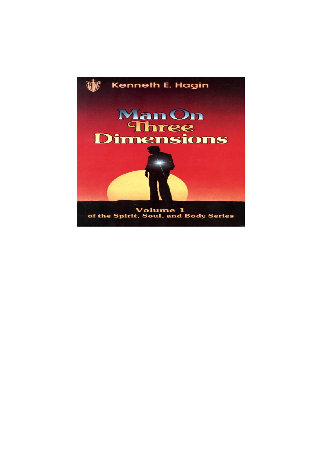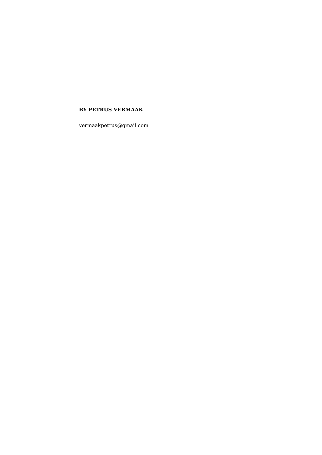# **BY PETRUS VERMAAK**

vermaakpetrus@gmail.com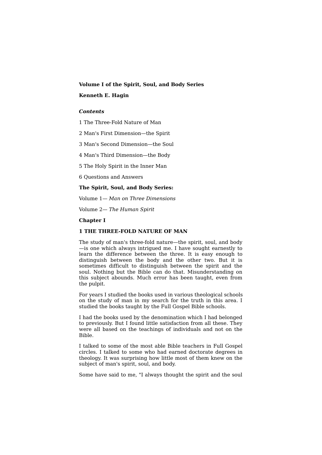# **Volume I of the Spirit, Soul, and Body Series**

# **Kenneth E. Hagin**

# *Contents*

1 The Three-Fold Nature of Man

2 Man's First Dimension—the Spirit

3 Man's Second Dimension—the Soul

4 Man's Third Dimension—the Body

5 The Holy Spirit in the Inner Man

6 Questions and Answers

### **The Spirit, Soul, and Body Series:**

Volume 1— *Man on Three Dimensions*

Volume 2— *The Human Spirit*

#### **Chapter I**

#### **1 THE THREE-FOLD NATURE OF MAN**

The study of man's three-fold nature—the spirit, soul, and body —is one which always intrigued me. I have sought earnestly to learn the difference between the three. It is easy enough to distinguish between the body and the other two. But it is sometimes difficult to distinguish between the spirit and the soul. Nothing but the Bible can do that. Misunderstanding on this subject abounds. Much error has been taught, even from the pulpit.

For years I studied the books used in various theological schools on the study of man in my search for the truth in this area. I studied the books taught by the Full Gospel Bible schools.

I had the books used by the denomination which I had belonged to previously. But I found little satisfaction from all these. They were all based on the teachings of individuals and not on the Bible.

I talked to some of the most able Bible teachers in Full Gospel circles. I talked to some who had earned doctorate degrees in theology. It was surprising how little most of them knew on the subject of man's spirit, soul, and body.

Some have said to me, "I always thought the spirit and the soul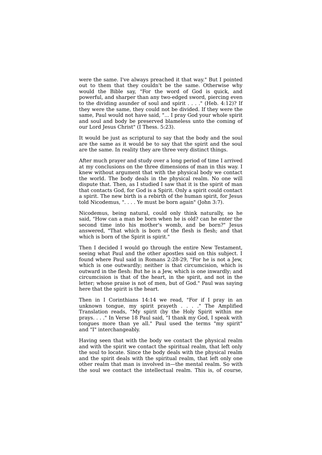were the same. I've always preached it that way." But I pointed out to them that they couldn't be the same. Otherwise why would the Bible say, "For the word of God is quick, and powerful, and sharper than any two-edged sword, piercing even to the dividing asunder of soul and spirit  $\dots$ ." (Heb. 4:12)? If they were the same, they could not be divided. If they were the same, Paul would not have said, "... I pray God your whole spirit and soul and body be preserved blameless unto the coming of our Lord Jesus Christ" (I Thess. 5:23).

It would be just as scriptural to say that the body and the soul are the same as it would be to say that the spirit and the soul are the same. In reality they are three very distinct things.

After much prayer and study over a long period of time I arrived at my conclusions on the three dimensions of man in this way. I knew without argument that with the physical body we contact the world. The body deals in the physical realm. No one will dispute that. Then, as I studied I saw that it is the spirit of man that contacts God, for God is a Spirit. Only a spirit could contact a spirit. The new birth is a rebirth of the human spirit, for Jesus told Nicodemus, ". . . . Ye must be born again" (John 3:7).

Nicodemus, being natural, could only think naturally, so he said, "How can a man be born when he is old? can he enter the second time into his mother's womb, and be born?" Jesus answered, "That which is born of the flesh is flesh; and that which is born of the Spirit is spirit."

Then I decided I would go through the entire New Testament, seeing what Paul and the other apostles said on this subject. I found where Paul said in Romans 2:28-29, "For he is not a Jew, which is one outwardly; neither is that circumcision, which is outward in the flesh: But he is a Jew, which is one inwardly; and circumcision is that of the heart, in the spirit, and not in the letter; whose praise is not of men, but of God." Paul was saying here that the spirit is the heart.

Then in I Corinthians 14:14 we read, "For if I pray in an unknown tongue, my spirit prayeth . . . ." The Amplified Translation reads, "My spirit (by the Holy Spirit within me prays. . . ." In Verse 18 Paul said, "I thank my God, I speak with tongues more than ye all." Paul used the terms "my spirit" and "I" interchangeably.

Having seen that with the body we contact the physical realm and with the spirit we contact the spiritual realm, that left only the soul to locate. Since the body deals with the physical realm and the spirit deals with the spiritual realm, that left only one other realm that man is involved in—the mental realm. So with the soul we contact the intellectual realm. This is, of course,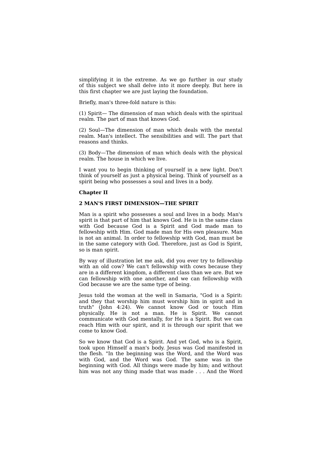simplifying it in the extreme. As we go further in our study of this subject we shall delve into it more deeply. But here in this first chapter we are just laying the foundation.

Briefly, man's three-fold nature is this:

(1) Spirit— The dimension of man which deals with the spiritual realm. The part of man that knows God.

(2) Soul—The dimension of man which deals with the mental realm. Man's intellect. The sensibilities and will. The part that reasons and thinks.

(3) Body—The dimension of man which deals with the physical realm. The house in which we live.

I want you to begin thinking of yourself in a new light. Don't think of yourself as just a physical being. Think of yourself as a spirit being who possesses a soul and lives in a body.

#### **Chapter II**

#### **2 MAN'S FIRST DIMENSION—THE SPIRIT**

Man is a spirit who possesses a soul and lives in a body. Man's spirit is that part of him that knows God. He is in the same class with God because God is a Spirit and God made man to fellowship with Him. God made man for His own pleasure. Man is not an animal. In order to fellowship with God, man must be in the same category with God. Therefore, just as God is Spirit, so is man spirit.

By way of illustration let me ask, did you ever try to fellowship with an old cow? We can't fellowship with cows because they are in a different kingdom, a different class than we are. But we can fellowship with one another, and we can fellowship with God because we are the same type of being.

Jesus told the woman at the well in Samaria, "God is a Spirit: and they that worship him must worship him in spirit and in truth" (John 4:24). We cannot know God or touch Him physically. He is not a man. He is Spirit. We cannot communicate with God mentally, for He is a Spirit. But we can reach Him with our spirit, and it is through our spirit that we come to know God.

So we know that God is a Spirit. And yet God, who is a Spirit, took upon Himself a man's body. Jesus was God manifested in the flesh. "In the beginning was the Word, and the Word was with God, and the Word was God. The same was in the beginning with God. All things were made by him; and without him was not any thing made that was made . . . And the Word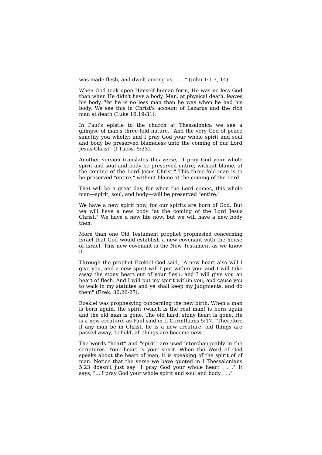was made flesh, and dwelt among us . . . ." (John 1:1-3, 14).

When God took upon Himself human form, He was no less God than when He didn't have a body. Man, at physical death, leaves his body. Yet he is no less man than he was when he had his body. We see this in Christ's account of Lazarus and the rich man at death (Luke 16:19-31).

In Paul's epistle to the church at Thessalonica we see a glimpse of man's three-fold nature. "And the very God of peace sanctify you wholly; and I pray God your whole spirit and soul and body be preserved blameless unto the coming of our Lord Jesus Christ" (I Thess. 5:23).

Another version translates this verse, "I pray God your whole spirit and soul and body be preserved entire, without blame, at the coming of the Lord Jesus Christ." This three-fold man is to be preserved "entire," without blame at the coming of the Lord.

That will be a great day, for when the Lord comes, this whole man—spirit, soul, and body—will be preserved "entire."

We have a new spirit now, for our spirits are born of God. But we will have a new body "at the coming of the Lord Jesus Christ." We have a new life now, but we will have a new body then.

More than one Old Testament prophet prophesied concerning Israel that God would establish a new covenant with the house of Israel. This new covenant is the New Testament as we know it.

Through the prophet Ezekiel God said, "A new heart also will I give you, and a new spirit will I put within you: and I will take away the stony heart out of your flesh, and I will give you an heart of flesh. And I will put my spirit within you, and cause you to walk in my statutes and ye shall keep my judgments, and do them" (Ezek. 36:26-27).

Ezekiel was prophesying concerning the new birth. When a man is born again, the spirit (which is the real man) is born again and the old man is gone. The old hard, stony heart is gone. He is a new creature, as Paul said in II Corinthians 5:17, "Therefore if any man be in Christ, he is a new creature: old things are passed away; behold, all things are become new."

The words "heart" and "spirit" are used interchangeably in the scriptures. Your heart is your spirit. When the Word of God speaks about the heart of man, it is speaking of the spirit of of man. Notice that the verse we have quoted in I Thessalonians 5:23 doesn't just say "I pray God your whole heart . . ." It says, "... I pray God your whole spirit and soul and body . . .'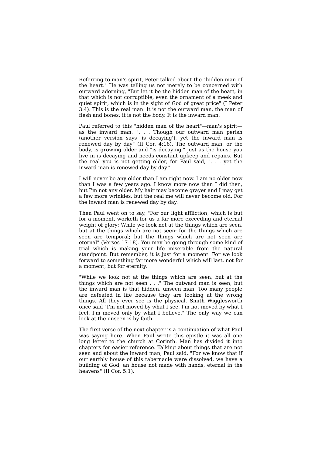Referring to man's spirit, Peter talked about the "hidden man of the heart." He was telling us not merely to be concerned with outward adorning, "But let it be the hidden man of the heart, in that which is not corruptible, even the ornament of a meek and quiet spirit, which is in the sight of God of great price" (I Peter 3:4). This is the real man. It is not the outward man, the man of flesh and bones; it is not the body. It is the inward man.

Paul referred to this "hidden man of the heart"—man's spirit as the inward man. ". . . Though our outward man perish (another version says 'is decaying'), yet the inward man is renewed day by day" (II Cor. 4:16). The outward man, or the body, is growing older and "is decaying," just as the house you live in is decaying and needs constant upkeep and repairs. But the real you is not getting older, for Paul said, ". . . yet the inward man is renewed day by day."

I will never be any older than I am right now. I am no older now than I was a few years ago. I know more now than I did then, but I'm not any older. My hair may become grayer and I may get a few more wrinkles, but the real me will never become old. For the inward man is renewed day by day.

Then Paul went on to say, "For our light affliction, which is but for a moment, worketh for us a far more exceeding and eternal weight of glory; While we look not at the things which are seen, but at the things which are not seen: for the things which are seen are temporal; but the things which are not seen are eternal" (Verses 17-18). You may be going through some kind of trial which is making your life miserable from the natural standpoint. But remember, it is just for a moment. For we look forward to something far more wonderful which will last, not for a moment, but for eternity.

"While we look not at the things which are seen, but at the things which are not seen . . ." The outward man is seen, but the inward man is that hidden, unseen man. Too many people are defeated in life because they are looking at the wrong things. All they ever see is the physical. Smith Wigglesworth once said "I'm not moved by what I see. I'm not moved by what I feel. I'm moved only by what I believe." The only way we can look at the unseen is by faith.

The first verse of the next chapter is a continuation of what Paul was saying here. When Paul wrote this epistle it was all one long letter to the church at Corinth. Man has divided it into chapters for easier reference. Talking about things that are not seen and about the inward man, Paul said, "For we know that if our earthly house of this tabernacle were dissolved, we have a building of God, an house not made with hands, eternal in the heavens" (II Cor. 5:1).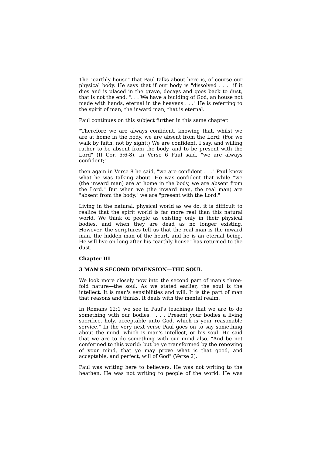The "earthly house" that Paul talks about here is, of course our physical body. He says that if our body is "dissolved . . ." if it dies and is placed in the grave, decays and goes back to dust, that is not the end. ". . . We have a building of God, an house not made with hands, eternal in the heavens . . ." He is referring to the spirit of man, the inward man, that is eternal.

Paul continues on this subject further in this same chapter.

"Therefore we are always confident, knowing that, whilst we are at home in the body, we are absent from the Lord: (For we walk by faith, not by sight:) We are confident, I say, and willing rather to be absent from the body, and to be present with the Lord" (II Cor. 5:6-8). In Verse 6 Paul said, "we are always confident;"

then again in Verse 8 he said, "we are confident . . ." Paul knew what he was talking about. He was confident that while "we (the inward man) are at home in the body, we are absent from the Lord." But when we (the inward man, the real man) are "absent from the body," we are "present with the Lord."

Living in the natural, physical world as we do, it is difficult to realize that the spirit world is far more real than this natural world. We think of people as existing only in their physical bodies, and when they are dead as no longer existing. However, the scriptures tell us that the real man is the inward man, the hidden man of the heart, and he is an eternal being. He will live on long after his "earthly house" has returned to the dust.

#### **Chapter III**

#### **3 MAN'S SECOND DIMENSION—THE SOUL**

We look more closely now into the second part of man's threefold nature—the soul. As we stated earlier, the soul is the intellect. It is man's sensibilities and will. It is the part of man that reasons and thinks. It deals with the mental realm.

In Romans 12:1 we see in Paul's teachings that we are to do something with our bodies. ". . . Present your bodies a living sacrifice, holy, acceptable unto God, which is your reasonable service." In the very next verse Paul goes on to say something about the mind, which is man's intellect, or his soul. He said that we are to do something with our mind also. "And be not conformed to this world: but be ye transformed by the renewing of your mind, that ye may prove what is that good, and acceptable, and perfect, will of God" (Verse 2).

Paul was writing here to believers. He was not writing to the heathen. He was not writing to people of the world. He was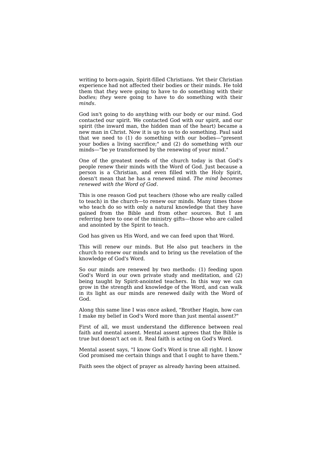writing to born-again, Spirit-filled Christians. Yet their Christian experience had not affected their bodies or their minds. He told them that *they* were going to have to do something with their *bodies; they* were going to have to do something with their *minds.*

God isn't going to do anything with our body or our mind. God contacted our spirit. We contacted God with our spirit, and our spirit (the inward man, the hidden man of the heart) became a new man in Christ. Now it is up to us to do something. Paul said that we need to (1) do something with our bodies—"present your bodies a living sacrifice;" and (2) do something with our minds—"be ye transformed by the renewing of your mind."

One of the greatest needs of the church today is that God's people renew their minds with the Word of God. Just because a person is a Christian, and even filled with the Holy Spirit, doesn't mean that he has a renewed mind. *The mind becomes renewed with the Word of God.*

This is one reason God put teachers (those who are really called to teach) in the church—to renew our minds. Many times those who teach do so with only a natural knowledge that they have gained from the Bible and from other sources. But I am referring here to one of the ministry gifts—those who are called and anointed by the Spirit to teach.

God has given us His Word, and we can feed upon that Word.

This will renew our minds. But He also put teachers in the church to renew our minds and to bring us the revelation of the knowledge of God's Word.

So our minds are renewed by two methods: (1) feeding upon God's Word in our own private study and meditation, and (2) being taught by Spirit-anointed teachers. In this way we can grow in the strength and knowledge of the Word, and can walk in its light as our minds are renewed daily with the Word of God.

Along this same line I was once asked, "Brother Hagin, how can I make my belief in God's Word more than just mental assent?"

First of all, we must understand the difference between real faith and mental assent. Mental assent agrees that the Bible is true but doesn't act on it. Real faith is acting on God's Word.

Mental assent says, "I know God's Word is true all right. I know God promised me certain things and that I ought to have them."

Faith sees the object of prayer as already having been attained.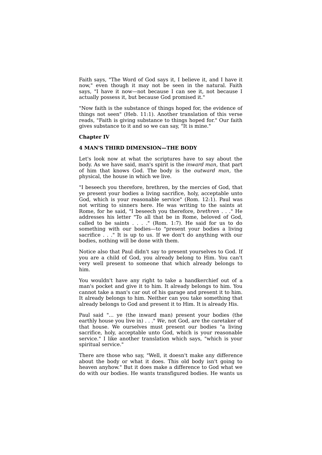Faith says, "The Word of God says it, I believe it, and I have it now," even though it may not be seen in the natural. Faith says, "I have it now—not because I can see it, not because I actually possess it, but because God promised it."

"Now faith is the substance of things hoped for, the evidence of things not seen" (Heb. 11:1). Another translation of this verse reads, "Faith is giving substance to things hoped for." Our faith gives substance to it and so we can say, "It is mine."

#### **Chapter IV**

#### **4 MAN'S THIRD DIMENSION—THE BODY**

Let's look now at what the scriptures have to say about the body. As we have said, man's spirit is the *inward man,* that part of him that knows God. The body is the *outward man,* the physical, the house in which we live.

"I beseech you therefore, brethren, by the mercies of God, that ye present your bodies a living sacrifice, holy, acceptable unto God, which is your reasonable service" (Rom. 12:1). Paul was not writing to sinners here. He was writing to the saints at Rome, for he said, "I beseech you therefore, *brethren* . . ." He addresses his letter "To all that be in Rome, beloved of God, called to be saints . . . ." (Rom. 1:7). He said for us to do something with our bodies—to "present your bodies a living sacrifice . . ." It is up to us. If we don't do anything with our bodies, nothing will be done with them.

Notice also that Paul didn't say to present yourselves to God. If you are a child of God, you already belong to Him. You can't very well present to someone that which already belongs to him.

You wouldn't have any right to take a handkerchief out of a man's pocket and give it to him. It already belongs to him. You cannot take a man's car out of his garage and present it to him. It already belongs to him. Neither can you take something that already belongs to God and present it to Him. It is already His.

Paul said "... ye (the inward man) present your bodies (the earthly house you live in) . . ." *We,* not God, are the caretaker of that house. We ourselves must present our bodies "a living sacrifice, holy, acceptable unto God, which is your reasonable service." I like another translation which says, "which is your spiritual service."

There are those who say, "Well, it doesn't make any difference about the body or what it does. This old body isn't going to heaven anyhow." But it does make a difference to God what we do with our bodies. He wants transfigured bodies. He wants us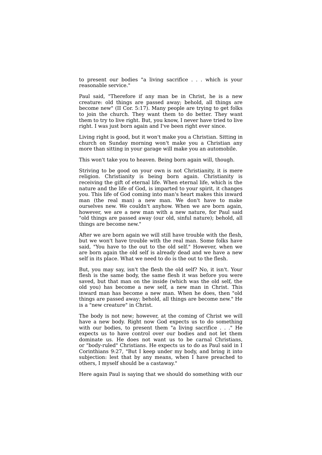to present our bodies "a living sacrifice . . . which is your reasonable service."

Paul said, "Therefore if any man be in Christ, he is a new creature: old things are passed away; behold, all things are become new" (II Cor. 5:17). Many people are trying to get folks to join the church. They want them to do better. They want them to try to live right. But, you know, I never have tried to live right. I was just born again and I've been right ever since.

Living right is good, but it won't make you a Christian. Sitting in church on Sunday morning won't make you a Christian any more than sitting in your garage will make you an automobile.

This won't take you to heaven. Being born again will, though.

Striving to be good on your own is not Christianity, it is mere religion. Christianity is being born again. Christianity is receiving the gift of eternal life. When eternal life, which is the nature and the life of God, is imparted to your spirit, it changes you. This life of God coming into man's heart makes this inward man (the real man) a new man. We don't have to make ourselves new. We couldn't anyhow. When we are born again, however, we are a new man with a new nature, for Paul said "old things are passed away (our old, sinful nature); behold, all things are become new."

After we are born again we will still have trouble with the flesh, but we won't have trouble with the real man. Some folks have said, "You have to the out to the old self." However, when we are born again the old self is already dead and we have a new self in its place. What we need to do is the out to the flesh.

But, you may say, isn't the flesh the old self? No, it isn't. Your flesh is the same body, the same flesh it was before you were saved, but that man on the inside (which was the old self, the old you) has become a new self, a new man in Christ. This inward man has become a new man. When he does, then "old things are passed away; behold, all things are become new." He is a "new creature" in Christ.

The body is not new; however, at the coming of Christ we will have a new body. Right now God expects us to do something with our bodies, to present them "a living sacrifice . . ." He expects us to have control over our bodies and not let them dominate us. He does not want us to be carnal Christians, or "body-ruled" Christians. He expects us to do as Paul said in I Corinthians 9:27, "But I keep under my body, and bring it into subjection: lest that by any means, when I have preached to others, I myself should be a castaway."

Here again Paul is saying that we should do something with our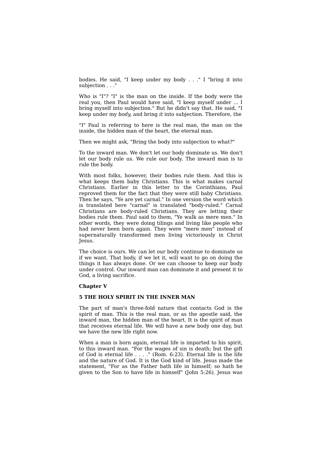bodies. He said, "I keep under my body . . ." I "bring it into subjection . . ."

Who is "I"? "I" is the man on the inside. If the body were the real you, then Paul would have said, "I keep myself under ... I bring myself into subjection." But he didn't say that. He said, "I keep under my *body,* and bring *it* into subjection. Therefore, the

"I" Paul is referring to here is the real man, the man on the inside, the hidden man of the heart, the eternal man.

Then we might ask, "Bring the body into subjection to what?"

To the inward man. We don't let our body dominate us. We don't let our body rule us. We rule our body. The inward man is to rule the body.

With most folks, however, their bodies rule them. And this is what keeps them baby Christians. This is what makes carnal Christians. Earlier in this letter to the Corinthians, Paul reproved them for the fact that they were still baby Christians. Then he says, "Ye are yet carnal." In one version the word which is translated here "carnal" is translated "body-ruled." Carnal Christians are body-ruled Christians. They are letting their bodies rule them. Paul said to them, "Ye walk as mere men." In other words, they were doing tilings and living like people who had never been born again. They were "mere men" instead of supernaturally transformed men living victoriously in Christ Jesus.

The choice is ours. We can let our body continue to dominate us if we want. That body, if we let it, will want to go on doing the things it has always done. Or we can choose to keep our body under control. Our inward man can dominate it and present it to God, a living sacrifice.

#### **Chapter V**

#### **5 THE HOLY SPIRIT IN THE INNER MAN**

The part of man's three-fold nature that contacts God is the spirit of man. This is the real man, or as the apostle said, the inward man, the hidden man of the heart. It is the spirit of man that receives eternal life. We will have a new body one day, but we have the new life right now.

When a man is born again, eternal life is imparted to his spirit, to this inward man. "For the wages of sin is death; but the gift of God is eternal life  $\dots$ ." (Rom. 6:23). Eternal life is the life and the nature of God. It is the God kind of life. Jesus made the statement, "For as the Father hath life in himself; so hath he given to the Son to have life in himself" (John 5:26). Jesus was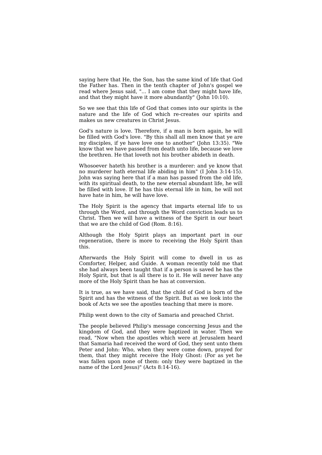saying here that He, the Son, has the same kind of life that God the Father has. Then in the tenth chapter of John's gospel we read where Jesus said, "... I am come that they might have life, and that they might have it more abundantly" (John 10:10).

So we see that this life of God that comes into our spirits is the nature and the life of God which re-creates our spirits and makes us new creatures in Christ Jesus.

God's nature is love. Therefore, if a man is born again, he will be filled with God's love. "By this shall all men know that ye are my disciples, if ye have love one to another" (John 13:35). "We know that we have passed from death unto life, because we love the brethren. He that loveth not his brother abideth in death.

Whosoever hateth his brother is a murderer: and ye know that no murderer hath eternal life abiding in him" (I John 3:14-15). John was saying here that if a man has passed from the old life, with its spiritual death, to the new eternal abundant life, he will be filled with love. If he has this eternal life in him, he will not have hate in him, he will have love.

The Holy Spirit is the agency that imparts eternal life to us through the Word, and through the Word conviction leads us to Christ. Then we will have a witness of the Spirit in our heart that we are the child of God (Rom. 8:16).

Although the Holy Spirit plays an important part in our regeneration, there is more to receiving the Holy Spirit than this.

Afterwards the Holy Spirit will come to dwell in us as Comforter, Helper, and Guide. A woman recently told me that she had always been taught that if a person is saved he has the Holy Spirit, but that is all there is to it. He will never have any more of the Holy Spirit than he has at conversion.

It is true, as we have said, that the child of God is born of the Spirit and has the witness of the Spirit. But as we look into the book of Acts we see the apostles teaching that mere is more.

Philip went down to the city of Samaria and preached Christ.

The people believed Philip's message concerning Jesus and the kingdom of God, and they were baptized in water. Then we read, "Now when the apostles which were at Jerusalem heard that Samaria had received the word of God, they sent unto them Peter and John: Who, when they were come down, prayed for them, that they might receive the Holy Ghost: (For as yet he was fallen upon none of them: only they were baptized in the name of the Lord Jesus)" (Acts 8:14-16).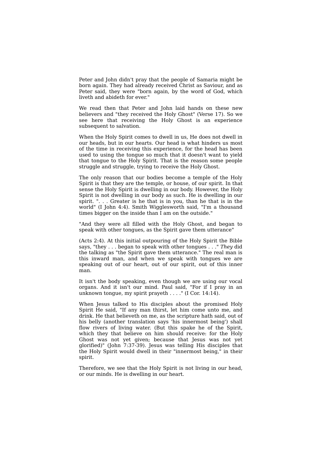Peter and John didn't pray that the people of Samaria might be born again. They had already received Christ as Saviour, and as Peter said, they were "born again, by the word of God, which liveth and abideth for ever."

We read then that Peter and John laid hands on these new believers and "they received the Holy Ghost" (Verse 17). So we see here that receiving the Holy Ghost is an experience subsequent to salvation.

When the Holy Spirit comes to dwell in us, He does not dwell in our heads, but in our hearts. Our head is what hinders us most of the time in receiving this experience, for the head has been used to using the tongue so much that it doesn't want to yield that tongue to the Holy Spirit. That is the reason some people struggle and struggle, trying to receive the Holy Ghost.

The only reason that our bodies become a temple of the Holy Spirit is that they are the temple, or house, of our spirit. In that sense the Holy Spirit is dwelling in our body. However, the Holy Spirit is not dwelling in our body as such. He is dwelling in our spirit. ". . . Greater is he that is in you, than he that is in the world" (I John 4:4). Smith Wigglesworth said, "I'm a thousand times bigger on the inside than I am on the outside."

"And they were all filled with the Holy Ghost, and began to speak with other tongues, as the Spirit gave them utterance"

(Acts 2:4). At this initial outpouring of the Holy Spirit the Bible says, "they . . . began to speak with other tongues . . ." *They* did the talking as "the Spirit gave them utterance." The real man is this inward man, and when we speak with tongues we are speaking out of our heart, out of our spirit, out of this inner man.

It isn't the body speaking, even though we are using our vocal organs. And it isn't our mind. Paul said, "For if I pray in an unknown tongue, my spirit prayeth . . . ." (I Cor. 14:14).

When Jesus talked to His disciples about the promised Holy Spirit He said, "If any man thirst, let him come unto me, and drink. He that believeth on me, as the scripture hath said, out of his belly (another translation says 'his innermost being') shall flow rivers of living water. (But this spake he of the Spirit, which they that believe on him should receive: for the Holy Ghost was not yet given; because that Jesus was not yet glorified)" (John 7:37-39). Jesus was telling His disciples that the Holy Spirit would dwell in their "innermost being," in their spirit.

Therefore, we see that the Holy Spirit is not living in our head, or our minds. He is dwelling in our heart.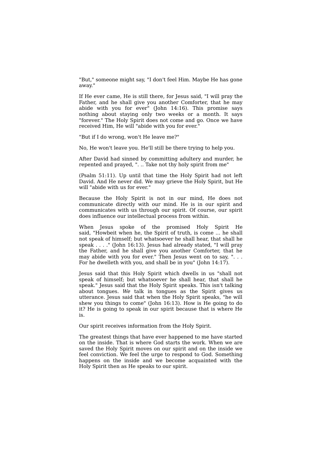"But," someone might say, "I don't feel Him. Maybe He has gone away."

If He ever came, He is still there, for Jesus said, "I will pray the Father, and he shall give you another Comforter, that he may abide with you for ever" (John 14:16). This promise says nothing about staying only two weeks or a month. It says "forever." The Holy Spirit does not come and go. Once we have received Him, He will "abide with you for ever."

"But if I do wrong, won't He leave me?"

No, He won't leave you. He'll still be there trying to help you.

After David had sinned by committing adultery and murder, he repented and prayed, ". .. Take not thy holy spirit from me"

(Psalm 51:11). Up until that time the Holy Spirit had not left David. And He never did. We may grieve the Holy Spirit, but He will "abide with us for ever."

Because the Holy Spirit is not in our mind, He does not communicate directly with our mind. He is in our spirit and communicates with us through our spirit. Of course, our spirit does influence our intellectual process from within.

When Jesus spoke of the promised Holy Spirit He said, "Howbeit when he, the Spirit of truth, is come ... he shall not speak of himself; but whatsoever he shall hear, that shall he speak . . . ." (John 16:13). Jesus had already stated, "I will pray the Father, and he shall give you another Comforter, that he may abide with you for ever." Then Jesus went on to say, ". . . For he dwelleth with you, and shall be in you" (John 14:17).

Jesus said that this Holy Spirit which dwells in us "shall not speak of himself; but whatsoever he shall hear, that shall he speak." Jesus said that the Holy Spirit speaks. This isn't talking about tongues. *We* talk in tongues as the Spirit gives us utterance. Jesus said that when the Holy Spirit speaks, "he will shew you things to come" (John 16:13). How is He going to do it? He is going to speak in our spirit because that is where He is.

Our spirit receives information from the Holy Spirit.

The greatest things that have ever happened to me have started on the inside. That is where God starts the work. When we are saved the Holy Spirit moves on our spirit and on the inside we feel conviction. We feel the urge to respond to God. Something happens on the inside and we become acquainted with the Holy Spirit then as He speaks to our spirit.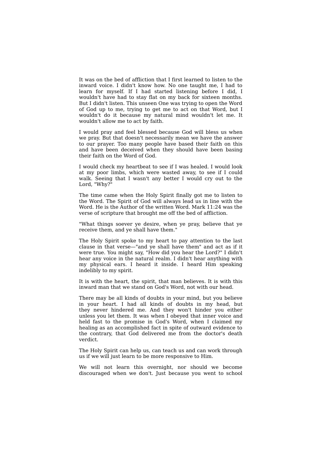It was on the bed of affliction that I first learned to listen to the inward voice. I didn't know how. No one taught me, I had to learn for myself. If I had started listening before I did, I wouldn't have had to stay flat on my back for sixteen months. But I didn't listen. This unseen One was trying to open the Word of God up to me, trying to get me to act on that Word, but I wouldn't do it because my natural mind wouldn't let me. It wouldn't allow me to act by faith.

I would pray and feel blessed because God will bless us when we pray. But that doesn't necessarily mean we have the answer to our prayer. Too many people have based their faith on this and have been deceived when they should have been basing their faith on the Word of God.

I would check my heartbeat to see if I was healed. I would look at my poor limbs, which were wasted away, to see if I could walk. Seeing that I wasn't any better I would cry out to the Lord, "Why?"

The time came when the Holy Spirit finally got me to listen to the Word. The Spirit of God will always lead us in line with the Word. He is the Author of the written Word. Mark 11:24 was the verse of scripture that brought me off the bed of affliction.

"What things soever ye desire, when ye pray, believe that ye receive them, and ye shall have them."

The Holy Spirit spoke to my heart to pay attention to the last clause in that verse—"and ye shall have them" and act as if it were true. You might say, "How did you hear the Lord?" I didn't hear any voice in the natural realm. I didn't hear anything with my physical ears. I heard it inside. I heard Him speaking indelibly to my spirit.

It is with the heart, the spirit, that man believes. It is with this inward man that we stand on God's Word, not with our head.

There may be all kinds of doubts in your mind, but you believe in your heart. I had all kinds of doubts in my head, but they never hindered me. And they won't hinder you either unless you let them. It was when I obeyed that inner voice and held fast to the promise in God's Word, when I claimed my healing as an accomplished fact in spite of outward evidence to the contrary, that God delivered me from the doctor's death verdict.

The Holy Spirit can help us, can teach us and can work through us if we will just learn to be more responsive to Him.

We will not learn this overnight, nor should we become discouraged when we don't. Just because you went to school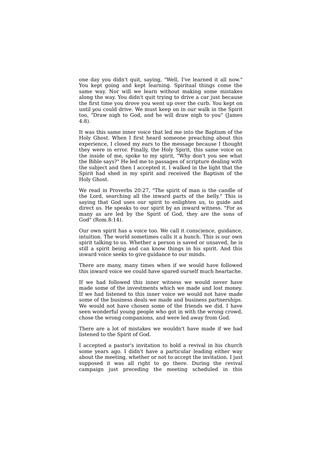one day you didn't quit, saying, "Well, I've learned it all now." You kept going and kept learning. Spiritual things come the same way. Nor will we learn without making some mistakes along the way. You didn't quit trying to drive a car just because the first time you drove you went up over the curb. You kept on until *you* could drive. We must keep on in our walk in the Spirit too, "Draw nigh to God, and he will draw nigh to you" (James 4:8).

It was this same inner voice that led me into the Baptism of the Holy Ghost. When I first heard someone preaching about this experience, I closed my ears to the message because I thought they were in error. Finally, the Holy Spirit, this same voice on the inside of me, spoke to my spirit, "Why don't you see what the Bible says?" He led me to passages of scripture dealing with the subject and then I accepted it. I walked in the light that the Spirit had shed in my spirit and received the Baptism of the Holy Ghost.

We read in Proverbs 20:27, "The spirit of man is the candle of the Lord, searching all the inward parts of the belly." This is saying that God uses our spirit to enlighten us, to guide and direct us. He speaks to our spirit by an inward witness. "For as many as are led by the Spirit of God, they are the sons of God" (Rom.8:14).

Our own spirit has a voice too. We call it conscience, guidance, intuition. The world sometimes calls it a hunch. This is our own spirit talking to us. Whether a person is saved or unsaved, he is still a spirit being and can know things in his spirit. And this inward voice seeks to give guidance to our minds.

There are many, many times when if we would have followed this inward voice we could have spared ourself much heartache.

If we had followed this inner witness we would never have made some of the investments which we made and lost money. If we had listened to this inner voice we would not have made some of the business deals we made and business partnerships. We would not have chosen some of the friends we did. I have seen wonderful young people who got in with the wrong crowd, chose the wrong companions, and were led away from God.

There are a lot of mistakes we wouldn't have made if we had listened to the Spirit of God.

I accepted a pastor's invitation to hold a revival in his church some years ago. I didn't have a particular leading either way about the meeting, whether or not to accept the invitation. I just supposed it was all right to go there. During the revival campaign just preceding the meeting scheduled in this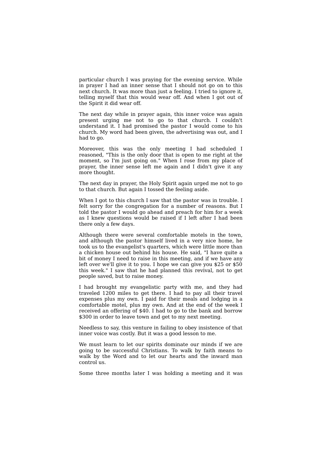particular church I was praying for the evening service. While in prayer I had an inner sense that I should not go on to this next church. It was more than just a feeling. I tried to ignore it, telling myself that this would wear off. And when I got out of the Spirit it did wear off.

The next day while in prayer again, this inner voice was again present urging me not to go to that church. I couldn't understand it. I had promised the pastor I would come to his church. My word had been given, the advertising was out, and I had to go.

Moreover, this was the only meeting I had scheduled I reasoned, "This is the only door that is open to me right at the moment, so I'm just going on." When I rose from my place of prayer, the inner sense left me again and I didn't give it any more thought.

The next day in prayer, the Holy Spirit again urged me not to go to that church. But again I tossed the feeling aside.

When I got to this church I saw that the pastor was in trouble. I felt sorry for the congregation for a number of reasons. But I told the pastor I would go ahead and preach for him for a week as I knew questions would be raised if I left after I had been there only a few days.

Although there were several comfortable motels in the town, and although the pastor himself lived in a very nice home, he took us to the evangelist's quarters, which were little more than a chicken house out behind his house. He said, "I have quite a bit of money I need to raise in this meeting, and if we have any left over we'll give it to you. I hope we can give you \$25 or \$50 this week." I saw that he had planned this revival, not to get people saved, but to raise money.

I had brought my evangelistic party with me, and they had traveled 1200 miles to get there. I had to pay all their travel expenses plus my own. I paid for their meals and lodging in a comfortable motel, plus my own. And at the end of the week I received an offering of \$40. I had to go to the bank and borrow \$300 in order to leave town and get to my next meeting.

Needless to say, this venture in failing to obey insistence of that inner voice was costly. But it was a good lesson to me.

We must learn to let our spirits dominate our minds if we are going to be successful Christians. To walk by faith means to walk by the Word and to let our hearts and the inward man control us.

Some three months later I was holding a meeting and it was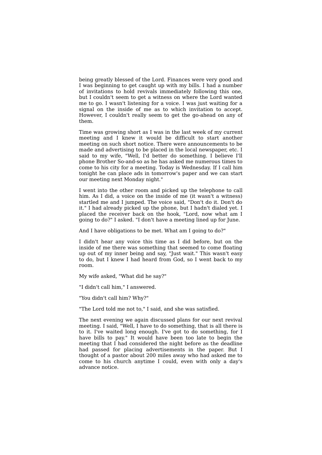being greatly blessed of the Lord. Finances were very good and I was beginning to get caught up with my bills. I had a number of invitations to hold revivals immediately following this one, but I couldn't seem to get a witness on where the Lord wanted me to go. I wasn't listening for a voice. I was just waiting for a signal on the inside of me as to which invitation to accept. However, I couldn't really seem to get the go-ahead on any of them.

Time was growing short as I was in the last week of my current meeting and I knew it would be difficult to start another meeting on such short notice. There were announcements to be made and advertising to be placed in the local newspaper, etc. I said to my wife, "Well, I'd better do something. I believe I'll phone Brother So-and-so as he has asked me numerous times to come to his city for a meeting. Today is Wednesday. If I call him tonight he can place ads in tomorrow's paper and we can start our meeting next Monday night."

I went into the other room and picked up the telephone to call him. As I did, a voice on the inside of me (it wasn't a witness) startled me and I jumped. The voice said, "Don't do it. Don't do it." I had already picked up the phone, but I hadn't dialed yet. I placed the receiver back on the hook, "Lord, now what am I going to do?" I asked. "I don't have a meeting lined up for June.

And I have obligations to be met. What am I going to do?"

I didn't hear any voice this time as I did before, but on the inside of me there was something that seemed to come floating up out of my inner being and say, "Just wait." This wasn't easy to do, but I knew I had heard from God, so I went back to my room.

My wife asked, "What did he say?"

"I didn't call him," I answered.

"You didn't call him? Why?"

"The Lord told me not to," I said, and she was satisfied.

The next evening we again discussed plans for our next revival meeting. I said, "Well, I have to do something, that is all there is to it. I've waited long enough. I've got to do something, for I have bills to pay." It would have been too late to begin the meeting that I had considered the night before as the deadline had passed for placing advertisements in the paper. But I thought of a pastor about 200 miles away who had asked me to come to his church anytime I could, even with only a day's advance notice.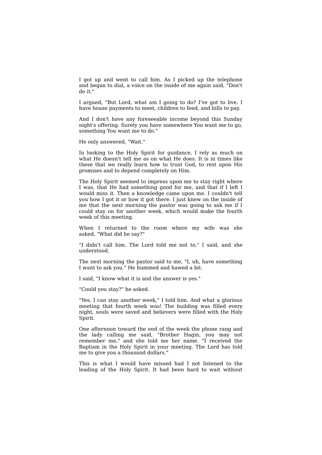I got up and went to call him. As I picked up the telephone and began to dial, a voice on the inside of me again said, "Don't do it."

I argued, "But Lord, what am I going to do? I've got to live. I have house payments to meet, children to feed, and bills to pay.

And I don't have any foreseeable income beyond this Sunday night's offering. Surely you have somewhere You want me to go, something You want me to do."

He only answered, "Wait."

In looking to the Holy Spirit for guidance, I rely as much on what He doesn't tell me as on what He does. It is in times like these that we really learn how to trust God, to rest upon His promises and to depend completely on Him.

The Holy Spirit seemed to impress upon me to stay right where I was, that He had something good for me, and that if I left I would miss it. Then a knowledge came upon me. I couldn't tell you how I got it or how it got there. I just knew on the inside of me that the next morning the pastor was going to ask me if I could stay on for another week, which would make the fourth week of this meeting.

When I returned to the room where my wife was she asked, "What did he say?"

"I didn't call him. The Lord told me not to," I said, and she understood.

The next morning the pastor said to me, "I, uh, have something I want to ask you." He hummed and hawed a bit.

I said, "I know what it is and the answer is yes."

"Could you stay?" he asked.

"Yes, I can stay another week," I told him. And what a glorious meeting that fourth week was! The building was filled every night, souls were saved and believers were filled with the Holy Spirit.

One afternoon toward the end of the week the phone rang and the lady calling me said, "Brother Hagin, you may not remember me," and she told me her name. "I received the Baptism in the Holy Spirit in your meeting. The Lord has told me to give you a thousand dollars."

This is what I would have missed had I not listened to the leading of the Holy Spirit. It had been hard to wait without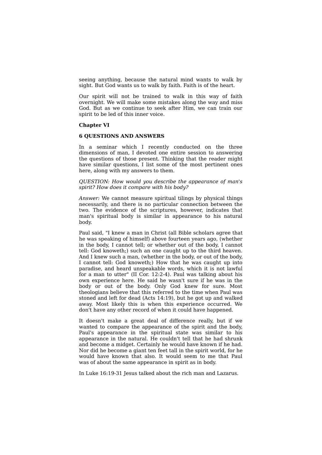seeing anything, because the natural mind wants to walk by sight. But God wants us to walk by faith. Faith is of the heart.

Our spirit will not be trained to walk in this way of faith overnight. We will make some mistakes along the way and miss God. But as we continue to seek after Him, we can train our spirit to be led of this inner voice.

#### **Chapter VI**

# **6 QUESTIONS AND ANSWERS**

In a seminar which I recently conducted on the three dimensions of man, I devoted one entire session to answering the questions of those present. Thinking that the reader might have similar questions, I list some of the most pertinent ones here, along with my answers to them.

*QUESTION: How would you describe the appearance of man's spirit? How does it compare with his body?*

*Answer:* We cannot measure spiritual tilings by physical things necessarily, and there is no particular connection between the two. The evidence of the scriptures, however, indicates that man's spiritual body is similar in appearance to his natural body.

Paul said, "I knew a man in Christ (all Bible scholars agree that he was speaking of himself) above fourteen years ago, (whether in the body, I cannot tell; or whether out of the body, I cannot tell: God knoweth;) such an one caught up to the third heaven. And I knew such a man, (whether in the body, or out of the body, I cannot tell: God knoweth;) How that he was caught up into paradise, and heard unspeakable words, which it is not lawful for a man to utter" (II Cor. 12:2-4). Paul was talking about his own experience here. He said he wasn't sure if he was in the body or out of the body. Only God knew for sure. Most theologians believe that this referred to the time when Paul was stoned and left for dead (Acts 14:19), but he got up and walked away. Most likely this is when this experience occurred. We don't have any other record of when it could have happened.

It doesn't make a great deal of difference really, but if we wanted to compare the appearance of the spirit and the body, Paul's appearance in the spiritual state was similar to his appearance in the natural. He couldn't tell that he had shrunk and become a midget. Certainly he would have known if he had. Nor did he become a giant ten feet tall in the spirit world, for he would have known that also. It would seem to me that Paul was of about the same appearance in spirit as in body.

In Luke 16:19-31 Jesus talked about the rich man and Lazarus.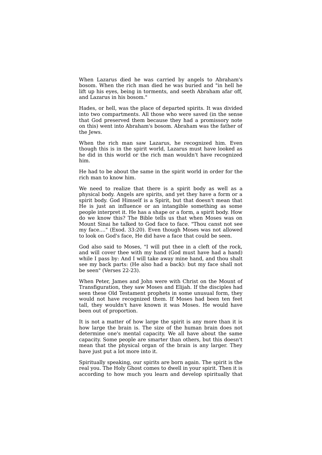When Lazarus died he was carried by angels to Abraham's bosom. When the rich man died he was buried and "in hell he lift up his eyes, being in torments, and seeth Abraham afar off, and Lazarus in his bosom."

Hades, or hell, was the place of departed spirits. It was divided into two compartments. All those who were saved (in the sense that God preserved them because they had a promissory note on this) went into Abraham's bosom. Abraham was the father of the Jews.

When the rich man saw Lazarus, he recognized him. Even though this is in the spirit world, Lazarus must have looked as he did in this world or the rich man wouldn't have recognized him.

He had to be about the same in the spirit world in order for the rich man to know him.

We need to realize that there is a spirit body as well as a physical body. Angels are spirits, and yet they have a form or a spirit body. God Himself is a Spirit, but that doesn't mean that He is just an influence or an intangible something as some people interpret it. He has a shape or a form, a spirit body. How do we know this? The Bible tells us that when Moses was on Mount Sinai he talked to God face to face. "Thou canst not see my face...." (Exod. 33:20). Even though Moses was not allowed to look on God's face, He did have a face that could be seen.

God also said to Moses, "I will put thee in a cleft of the rock, and will cover thee with my hand (God must have had a hand) while I pass by: And I will take away mine hand, and thou shalt see my back parts: (He also had a back): but my face shall not be seen" (Verses 22-23).

When Peter, James and John were with Christ on the Mount of Transfiguration, they saw Moses and Elijah. If the disciples had seen these Old Testament prophets in some unusual form, they would not have recognized them. If Moses had been ten feet tall, they wouldn't have known it was Moses. He would have been out of proportion.

It is not a matter of how large the spirit is any more than it is how large the brain is. The size of the human brain does not determine one's mental capacity. We all have about the same capacity. Some people are smarter than others, but this doesn't mean that the physical organ of the brain is any larger. They have just put a lot more into it.

Spiritually speaking, our spirits are born again. The spirit is the real you. The Holy Ghost comes to dwell in your spirit. Then it is according to how much you learn and develop spiritually that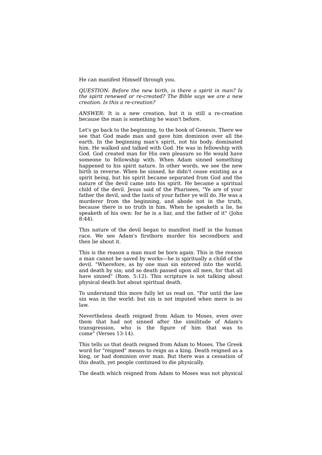He can manifest Himself through you.

*QUESTION: Before the new birth, is there a spirit in man? Is the spirit renewed or re-created? The Bible says we are a new creation. Is this a re-creation?*

*ANSWER:* It is a new creation, but it is still a re-creation because the man is something he wasn't before.

Let's go back to the beginning, to the book of Genesis. There we see that God made man and gave him dominion over all the earth. In the beginning man's spirit, not his body, dominated him. He walked and talked with God. He was in fellowship with God. God created man for His own pleasure so He would have someone to fellowship with. When Adam sinned something happened to his spirit nature. In other words, we see the new birth in reverse. When he sinned, he didn't cease existing as a spirit being, but his spirit became separated from God and the nature of the devil came into his spirit. He became a spiritual child of the devil. Jesus said of the Pharisees, "Ye are of your father the devil, and the lusts of your father ye will do. He was a murderer from the beginning, and abode not in the truth, because there is no truth in him. When he speaketh a lie, he speaketh of his own: for he is a liar, and the father of it" (John 8:44).

This nature of the devil began to manifest itself in the human race. We see Adam's firstborn murder his secondborn and then lie about it.

This is the reason a man must be born again. This is the reason a man cannot be saved by works—he is spiritually a child of the devil. "Wherefore, as by one man sin entered into the world, and death by sin; and so death passed upon all men, for that all have sinned" (Rom. 5:12). This scripture is not talking about physical death but about spiritual death.

To understand this more fully let us read on. "For until the law sin was in the world: but sin is not imputed when mere is no law.

Nevertheless death reigned from Adam to Moses, even over them that had not sinned after the similitude of Adam's transgression, who is the figure of him that was to come" (Verses 13-14).

This tells us that death reigned from Adam to Moses. The Greek word for "reigned" means to reign as a king. Death reigned as a king, or had dominion over man. But there was a cessation of this death, yet people continued to die physically.

The death which reigned from Adam to Moses was not physical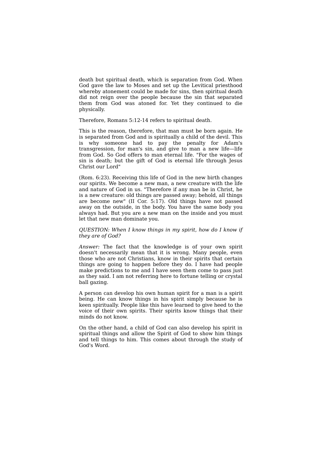death but spiritual death, which is separation from God. When God gave the law to Moses and set up the Levitical priesthood whereby atonement could be made for sins, then spiritual death did not reign over the people because the sin that separated them from God was atoned for. Yet they continued to die physically.

Therefore, Romans 5:12-14 refers to spiritual death.

This is the reason, therefore, that man must be born again. He is separated from God and is spiritually a child of the devil. This is why someone had to pay the penalty for Adam's transgression, for man's sin, and give to man a new life—life from God. So God offers to man eternal life. "For the wages of sin is death; but the gift of God is eternal life through Jesus Christ our Lord"

(Rom. 6:23). Receiving this life of God in the new birth changes our spirits. We become a new man, a new creature with the life and nature of God in us. "Therefore if any man be in Christ, he is a new creature: old things are passed away; behold, all things are become new" (II Cor. 5:17). Old things have not passed away on the outside, in the body. You have the same body you always had. But you are a new man on the inside and you must let that new man dominate you.

*QUESTION: When I know things in my spirit, how do I know if they are of God?*

*Answer:* The fact that the knowledge is of your own spirit doesn't necessarily mean that it is wrong. Many people, even those who are not Christians, know in their spirits that certain things are going to happen before they do. I have had people make predictions to me and I have seen them come to pass just as they said. I am not referring here to fortune telling or crystal ball gazing.

A person can develop his own human spirit for a man is a spirit being. He can know things in his spirit simply because he is keen spiritually. People like this have learned to give heed to the voice of their own spirits. Their spirits know things that their minds do not know.

On the other hand, a child of God can also develop his spirit in spiritual things and allow the Spirit of God to show him things and tell things to him. This comes about through the study of God's Word.